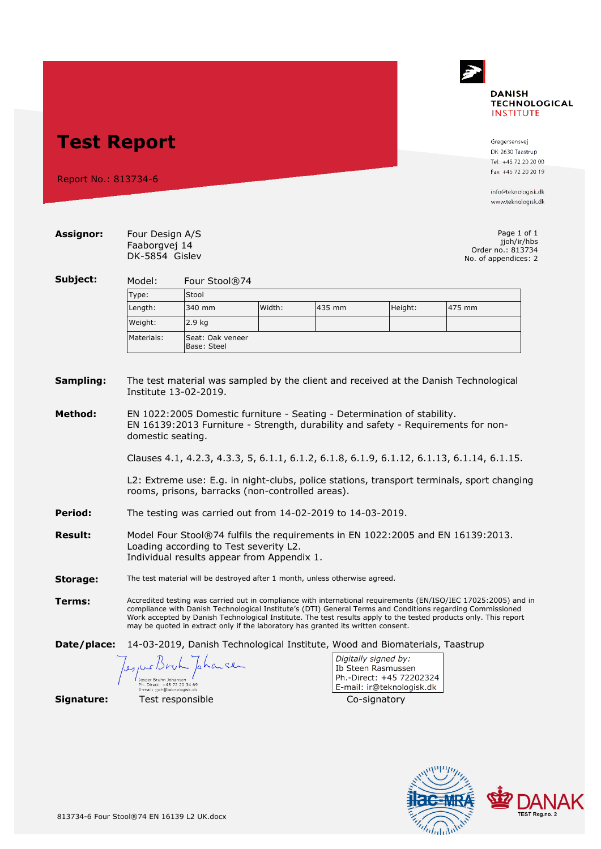

## **Test Report**

Report No.: 813734-6

Gregersensvej DK-2630 Taastrup Tel. +45 72 20 20 00 Fax +45 72 20 20 19

info@teknologisk.dk www.teknologisk.dk

| <b>Assignor:</b>     | Four Design A/S<br>Faaborgvej 14<br>DK-5854 Gislev                                                                                                                                                                                                                                                                                                                                                                                    |                                 |        |                                                                             |                                                                                                     | Page 1 of 1<br>jjoh/ir/hbs<br>Order no.: 813734<br>No. of appendices: 2 |  |  |
|----------------------|---------------------------------------------------------------------------------------------------------------------------------------------------------------------------------------------------------------------------------------------------------------------------------------------------------------------------------------------------------------------------------------------------------------------------------------|---------------------------------|--------|-----------------------------------------------------------------------------|-----------------------------------------------------------------------------------------------------|-------------------------------------------------------------------------|--|--|
| Subject:             | Four Stool®74<br>Model:                                                                                                                                                                                                                                                                                                                                                                                                               |                                 |        |                                                                             |                                                                                                     |                                                                         |  |  |
|                      | Stool<br>Type:                                                                                                                                                                                                                                                                                                                                                                                                                        |                                 |        |                                                                             |                                                                                                     |                                                                         |  |  |
|                      | Length:                                                                                                                                                                                                                                                                                                                                                                                                                               | 340 mm                          | Width: | 435 mm                                                                      | Height:                                                                                             | 475 mm                                                                  |  |  |
|                      | Weight:                                                                                                                                                                                                                                                                                                                                                                                                                               | 2.9 <sub>kg</sub>               |        |                                                                             |                                                                                                     |                                                                         |  |  |
|                      | Materials:                                                                                                                                                                                                                                                                                                                                                                                                                            | Seat: Oak veneer<br>Base: Steel |        |                                                                             |                                                                                                     |                                                                         |  |  |
| Sampling:<br>Method: | The test material was sampled by the client and received at the Danish Technological<br>Institute 13-02-2019.<br>EN 1022:2005 Domestic furniture - Seating - Determination of stability.<br>EN 16139:2013 Furniture - Strength, durability and safety - Requirements for non-                                                                                                                                                         |                                 |        |                                                                             |                                                                                                     |                                                                         |  |  |
|                      | domestic seating.                                                                                                                                                                                                                                                                                                                                                                                                                     |                                 |        |                                                                             |                                                                                                     |                                                                         |  |  |
|                      | Clauses 4.1, 4.2.3, 4.3.3, 5, 6.1.1, 6.1.2, 6.1.8, 6.1.9, 6.1.12, 6.1.13, 6.1.14, 6.1.15.                                                                                                                                                                                                                                                                                                                                             |                                 |        |                                                                             |                                                                                                     |                                                                         |  |  |
|                      | L2: Extreme use: E.g. in night-clubs, police stations, transport terminals, sport changing<br>rooms, prisons, barracks (non-controlled areas).                                                                                                                                                                                                                                                                                        |                                 |        |                                                                             |                                                                                                     |                                                                         |  |  |
| Period:              | The testing was carried out from 14-02-2019 to 14-03-2019.                                                                                                                                                                                                                                                                                                                                                                            |                                 |        |                                                                             |                                                                                                     |                                                                         |  |  |
| <b>Result:</b>       | Model Four Stool®74 fulfils the requirements in EN 1022:2005 and EN 16139:2013.<br>Loading according to Test severity L2.<br>Individual results appear from Appendix 1.                                                                                                                                                                                                                                                               |                                 |        |                                                                             |                                                                                                     |                                                                         |  |  |
| Storage:             | The test material will be destroyed after 1 month, unless otherwise agreed.                                                                                                                                                                                                                                                                                                                                                           |                                 |        |                                                                             |                                                                                                     |                                                                         |  |  |
| Terms:               | Accredited testing was carried out in compliance with international requirements (EN/ISO/IEC 17025:2005) and in<br>compliance with Danish Technological Institute's (DTI) General Terms and Conditions regarding Commissioned<br>Work accepted by Danish Technological Institute. The test results apply to the tested products only. This report<br>may be quoted in extract only if the laboratory has granted its written consent. |                                 |        |                                                                             |                                                                                                     |                                                                         |  |  |
| Date/place:          |                                                                                                                                                                                                                                                                                                                                                                                                                                       |                                 |        | 14-03-2019, Danish Technological Institute, Wood and Biomaterials, Taastrup |                                                                                                     |                                                                         |  |  |
|                      | Ph. Direct: +45 72 20 34 69                                                                                                                                                                                                                                                                                                                                                                                                           | pharce                          |        |                                                                             | Digitally signed by:<br>Ib Steen Rasmussen<br>Ph.-Direct: +45 72202324<br>E-mail: ir@teknologisk.dk |                                                                         |  |  |
| Signature:           | E-mail: iioh@teknologisk.dk                                                                                                                                                                                                                                                                                                                                                                                                           | Test responsible                |        |                                                                             | Co-signatory                                                                                        |                                                                         |  |  |

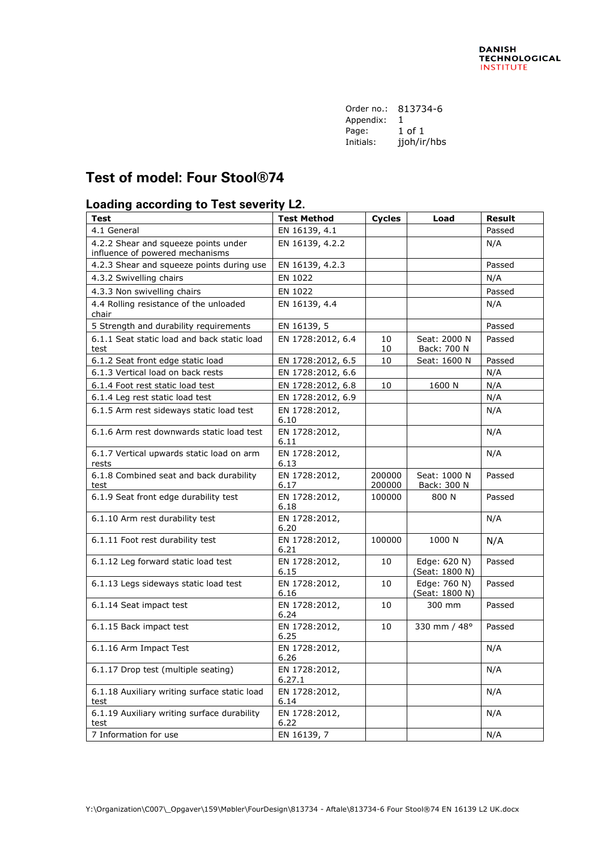| Order no.: | 813734-6    |  |  |
|------------|-------------|--|--|
| Appendix:  | 1           |  |  |
| Page:      | 1 of 1      |  |  |
| Initials:  | jjoh/ir/hbs |  |  |

## **Test of model: Four Stool®74**

## **Loading according to Test severity L2.**

| <b>Test</b>                                                             | <b>Test Method</b>      | <b>Cycles</b>    | Load                           | <b>Result</b> |
|-------------------------------------------------------------------------|-------------------------|------------------|--------------------------------|---------------|
| 4.1 General                                                             | EN 16139, 4.1           |                  |                                | Passed        |
| 4.2.2 Shear and squeeze points under<br>influence of powered mechanisms | EN 16139, 4.2.2         |                  |                                | N/A           |
| 4.2.3 Shear and squeeze points during use                               | EN 16139, 4.2.3         |                  |                                | Passed        |
| 4.3.2 Swivelling chairs                                                 | EN 1022                 |                  |                                | N/A           |
| 4.3.3 Non swivelling chairs                                             | EN 1022                 |                  |                                | Passed        |
| 4.4 Rolling resistance of the unloaded<br>chair                         | EN 16139, 4.4           |                  |                                | N/A           |
| 5 Strength and durability requirements                                  | EN 16139, 5             |                  |                                | Passed        |
| 6.1.1 Seat static load and back static load<br>test                     | EN 1728:2012, 6.4       | 10<br>10         | Seat: 2000 N<br>Back: 700 N    | Passed        |
| 6.1.2 Seat front edge static load                                       | EN 1728:2012, 6.5       | 10               | Seat: 1600 N                   | Passed        |
| 6.1.3 Vertical load on back rests                                       | EN 1728:2012, 6.6       |                  |                                | N/A           |
| 6.1.4 Foot rest static load test                                        | EN 1728:2012, 6.8       | 10               | 1600 N                         | N/A           |
| 6.1.4 Leg rest static load test                                         | EN 1728:2012, 6.9       |                  |                                | N/A           |
| 6.1.5 Arm rest sideways static load test                                | EN 1728:2012,<br>6.10   |                  |                                | N/A           |
| 6.1.6 Arm rest downwards static load test                               | EN 1728:2012,<br>6.11   |                  |                                | N/A           |
| 6.1.7 Vertical upwards static load on arm<br>rests                      | EN 1728:2012,<br>6.13   |                  |                                | N/A           |
| 6.1.8 Combined seat and back durability<br>test                         | EN 1728:2012,<br>6.17   | 200000<br>200000 | Seat: 1000 N<br>Back: 300 N    | Passed        |
| 6.1.9 Seat front edge durability test                                   | EN 1728:2012,<br>6.18   | 100000           | 800 N                          | Passed        |
| 6.1.10 Arm rest durability test                                         | EN 1728:2012,<br>6.20   |                  |                                | N/A           |
| 6.1.11 Foot rest durability test                                        | EN 1728:2012,<br>6.21   | 100000           | 1000 N                         | N/A           |
| 6.1.12 Leg forward static load test                                     | EN 1728:2012,<br>6.15   | 10               | Edge: 620 N)<br>(Seat: 1800 N) | Passed        |
| 6.1.13 Legs sideways static load test                                   | EN 1728:2012,<br>6.16   | 10               | Edge: 760 N)<br>(Seat: 1800 N) | Passed        |
| 6.1.14 Seat impact test                                                 | EN 1728:2012,<br>6.24   | 10               | 300 mm                         | Passed        |
| 6.1.15 Back impact test                                                 | EN 1728:2012,<br>6.25   | 10               | 330 mm / 48°                   | Passed        |
| 6.1.16 Arm Impact Test                                                  | EN 1728:2012,<br>6.26   |                  |                                | N/A           |
| 6.1.17 Drop test (multiple seating)                                     | EN 1728:2012,<br>6.27.1 |                  |                                | N/A           |
| 6.1.18 Auxiliary writing surface static load<br>test                    | EN 1728:2012,<br>6.14   |                  |                                | N/A           |
| 6.1.19 Auxiliary writing surface durability<br>test                     | EN 1728:2012,<br>6.22   |                  |                                | N/A           |
| 7 Information for use                                                   | EN 16139, 7             |                  |                                | N/A           |